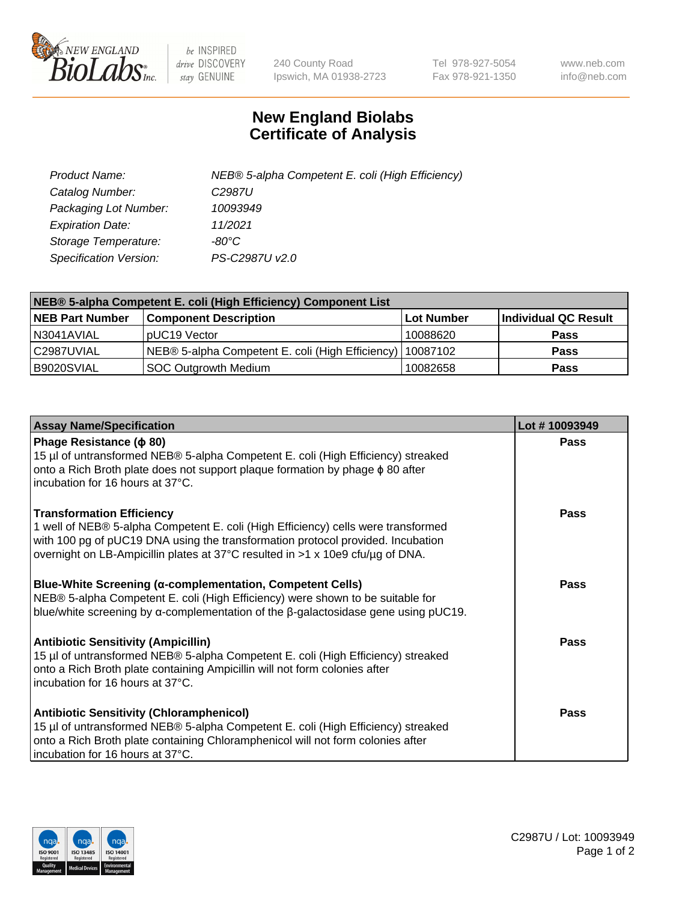

 $be$  INSPIRED drive DISCOVERY stay GENUINE

240 County Road Ipswich, MA 01938-2723 Tel 978-927-5054 Fax 978-921-1350 www.neb.com info@neb.com

## **New England Biolabs Certificate of Analysis**

| Product Name:           | NEB® 5-alpha Competent E. coli (High Efficiency) |
|-------------------------|--------------------------------------------------|
| Catalog Number:         | C <sub>2987</sub> U                              |
| Packaging Lot Number:   | 10093949                                         |
| <b>Expiration Date:</b> | 11/2021                                          |
| Storage Temperature:    | -80°C                                            |
| Specification Version:  | PS-C2987U v2.0                                   |

| NEB® 5-alpha Competent E. coli (High Efficiency) Component List |                                                             |            |                      |  |
|-----------------------------------------------------------------|-------------------------------------------------------------|------------|----------------------|--|
| <b>NEB Part Number</b>                                          | <b>Component Description</b>                                | Lot Number | Individual QC Result |  |
| N3041AVIAL                                                      | pUC19 Vector                                                | 10088620   | <b>Pass</b>          |  |
| C2987UVIAL                                                      | NEB® 5-alpha Competent E. coli (High Efficiency)   10087102 |            | <b>Pass</b>          |  |
| B9020SVIAL                                                      | <b>SOC Outgrowth Medium</b>                                 | 10082658   | <b>Pass</b>          |  |

| <b>Assay Name/Specification</b>                                                                                                                                                                                                                                                            | Lot #10093949 |
|--------------------------------------------------------------------------------------------------------------------------------------------------------------------------------------------------------------------------------------------------------------------------------------------|---------------|
| Phage Resistance ( $\phi$ 80)<br>15 µl of untransformed NEB® 5-alpha Competent E. coli (High Efficiency) streaked<br>onto a Rich Broth plate does not support plaque formation by phage $\phi$ 80 after<br>incubation for 16 hours at 37°C.                                                | <b>Pass</b>   |
| <b>Transformation Efficiency</b><br>1 well of NEB® 5-alpha Competent E. coli (High Efficiency) cells were transformed<br>with 100 pg of pUC19 DNA using the transformation protocol provided. Incubation<br>overnight on LB-Ampicillin plates at 37°C resulted in >1 x 10e9 cfu/μg of DNA. | Pass          |
| Blue-White Screening (α-complementation, Competent Cells)<br>NEB® 5-alpha Competent E. coli (High Efficiency) were shown to be suitable for<br>blue/white screening by $\alpha$ -complementation of the $\beta$ -galactosidase gene using pUC19.                                           | Pass          |
| <b>Antibiotic Sensitivity (Ampicillin)</b><br>15 µl of untransformed NEB® 5-alpha Competent E. coli (High Efficiency) streaked<br>onto a Rich Broth plate containing Ampicillin will not form colonies after<br>incubation for 16 hours at 37°C.                                           | <b>Pass</b>   |
| <b>Antibiotic Sensitivity (Chloramphenicol)</b><br>15 µl of untransformed NEB® 5-alpha Competent E. coli (High Efficiency) streaked<br>onto a Rich Broth plate containing Chloramphenicol will not form colonies after<br>incubation for 16 hours at 37°C.                                 | <b>Pass</b>   |